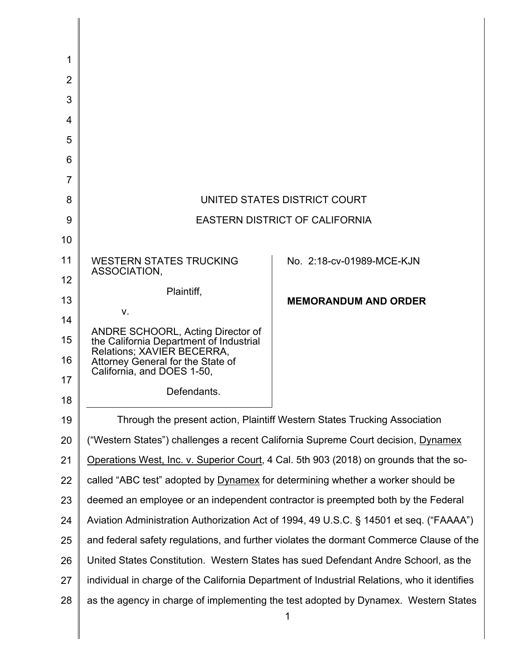| 1              |                                                                                              |                             |
|----------------|----------------------------------------------------------------------------------------------|-----------------------------|
| $\overline{2}$ |                                                                                              |                             |
| 3              |                                                                                              |                             |
| 4              |                                                                                              |                             |
| 5              |                                                                                              |                             |
| 6              |                                                                                              |                             |
| $\overline{7}$ |                                                                                              |                             |
| 8              | UNITED STATES DISTRICT COURT                                                                 |                             |
| 9              | <b>EASTERN DISTRICT OF CALIFORNIA</b>                                                        |                             |
| 10             |                                                                                              |                             |
| 11             | <b>WESTERN STATES TRUCKING</b>                                                               | No. 2:18-cv-01989-MCE-KJN   |
| 12             | ASSOCIATION,                                                                                 |                             |
| 13             | Plaintiff,                                                                                   | <b>MEMORANDUM AND ORDER</b> |
| 14             | $V_{\cdot}$                                                                                  |                             |
| 15             | ANDRE SCHOORL, Acting Director of<br>the California Department of Industrial                 |                             |
| 16             | Relations; XAVIER BECERRA,<br>Attorney General for the State of                              |                             |
| 17             | California, and DOES 1-50,                                                                   |                             |
| 18             | Defendants.                                                                                  |                             |
| 19             | Through the present action, Plaintiff Western States Trucking Association                    |                             |
| 20             | ("Western States") challenges a recent California Supreme Court decision, Dynamex            |                             |
| 21             | Operations West, Inc. v. Superior Court, 4 Cal. 5th 903 (2018) on grounds that the so-       |                             |
| 22             | called "ABC test" adopted by Dynamex for determining whether a worker should be              |                             |
| 23             | deemed an employee or an independent contractor is preempted both by the Federal             |                             |
| 24             | Aviation Administration Authorization Act of 1994, 49 U.S.C. § 14501 et seq. ("FAAAA")       |                             |
| 25             | and federal safety regulations, and further violates the dormant Commerce Clause of the      |                             |
| 26             | United States Constitution. Western States has sued Defendant Andre Schoorl, as the          |                             |
| 27             | individual in charge of the California Department of Industrial Relations, who it identifies |                             |
| 28             | as the agency in charge of implementing the test adopted by Dynamex. Western States          |                             |
|                |                                                                                              | 1                           |

║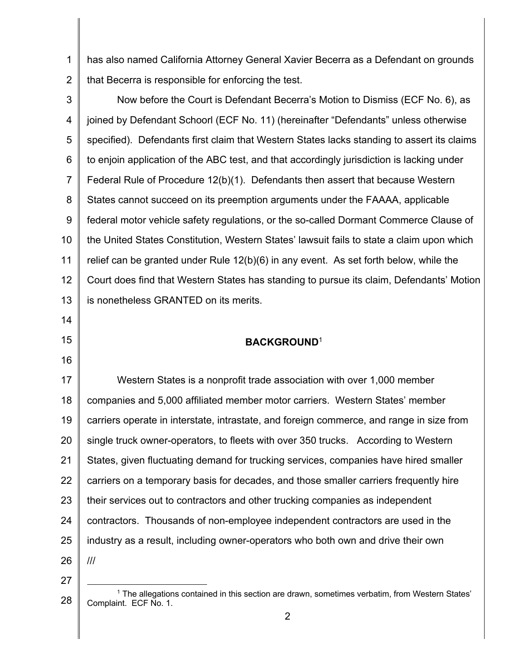1 2 has also named California Attorney General Xavier Becerra as a Defendant on grounds that Becerra is responsible for enforcing the test.

3 4 5 6 7 8 9 10 11 12 13 Now before the Court is Defendant Becerra's Motion to Dismiss (ECF No. 6), as joined by Defendant Schoorl (ECF No. 11) (hereinafter "Defendants" unless otherwise specified). Defendants first claim that Western States lacks standing to assert its claims to enjoin application of the ABC test, and that accordingly jurisdiction is lacking under Federal Rule of Procedure 12(b)(1). Defendants then assert that because Western States cannot succeed on its preemption arguments under the FAAAA, applicable federal motor vehicle safety regulations, or the so-called Dormant Commerce Clause of the United States Constitution, Western States' lawsuit fails to state a claim upon which relief can be granted under Rule 12(b)(6) in any event. As set forth below, while the Court does find that Western States has standing to pursue its claim, Defendants' Motion is nonetheless GRANTED on its merits.

# **BACKGROUND**<sup>1</sup>

17 18 19 20 21 22 23 24 25 26 Western States is a nonprofit trade association with over 1, 000 member companies and 5,000 affiliated member motor carriers. Western States' member carriers operate in interstate, intrastate, and foreign commerce, and range in size from single truck owner-operators, to fleets with over 350 trucks. According to Western States, given fluctuating demand for trucking services, companies have hired smaller carriers on a temporary basis for decades, and those smaller carriers frequently hire their services out to contractors and other trucking companies as independent contractors. Thousands of non-employee independent contractors are used in the industry as a result, including owner-operators who both own and drive their own ///

27

14

15

<sup>28</sup>  $1$  The allegations contained in this section are drawn, sometimes verbatim, from Western States' Complaint. ECF No. 1.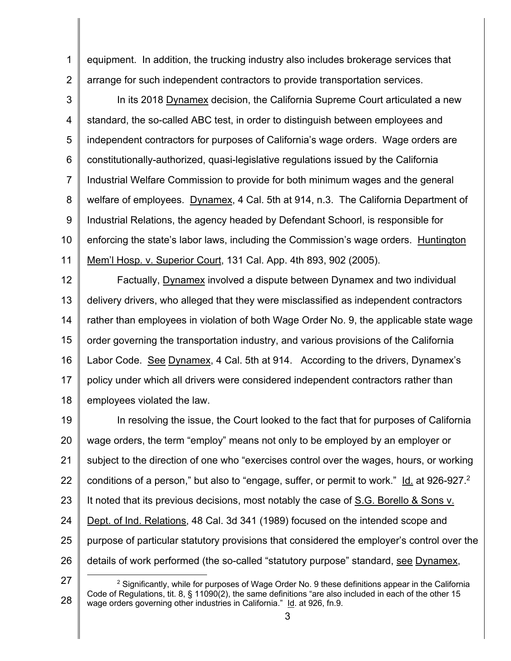equipment. In addition, the trucking industry also includes brokerage services that arrange for such independent contractors to provide transportation services. 1 2

In its 2018 Dynamex decision, the California Supreme Court articulated a new standard, the so-called ABC test, in order to distinguish between employees and independent contractors for purposes of California's wage orders. Wage orders are constitutionally-authorized, quasi-legislative regulations issued by the California Industrial Welfare Commission to provide for both minimum wages and the general welfare of employees. Dynamex, 4 Cal. 5th at 914, n.3. The California Department of Industrial Relations, the agency headed by Defendant Schoorl, is responsible for enforcing the state's labor laws, including the Commission's wage orders. Huntington Mem'l Hosp. v. Superior Court, 131 Cal. App. 4th 893, 902 (2005). 3 4 5 6 7 8 9 10 11

Factually, Dynamex involved a dispute between Dynamex and two individual delivery drivers, who alleged that they were misclassified as independent contractors rather than employees in violation of both Wage Order No. 9, the applicable state wage order governing the transportation industry, and various provisions of the California Labor Code. See Dynamex, 4 Cal. 5th at 914. According to the drivers, Dynamex's policy under which all drivers were considered independent contractors rather than employees violated the law. 12 13 14 15 16 17 18

 In resolving the issue, the Court looked to the fact that for purposes of California wage orders, the term "employ" means not only to be employed by an employer or subject to the direction of one who "exercises control over the wages, hours, or working conditions of a person," but also to "engage, suffer, or permit to work." ld. at 926-927.<sup>2</sup> It noted that its previous decisions, most notably the case of S.G. Borello & Sons v. Dept. of Ind. Relations, 48 Cal. 3d 341 (1989) focused on the intended scope and purpose of particular statutory provisions that considered the employer's control over the details of work performed (the so-called "statutory purpose" standard, see Dynamex, 19 20 21 22 23 24 25 26

27

28

l

 Code of Regulations, tit. 8, § 11090(2), the same definitions "are also included in each of the other 15 wage orders governing other industries in California." Id. at 926, fn.9.  $2$  Significantly, while for purposes of Wage Order No. 9 these definitions appear in the California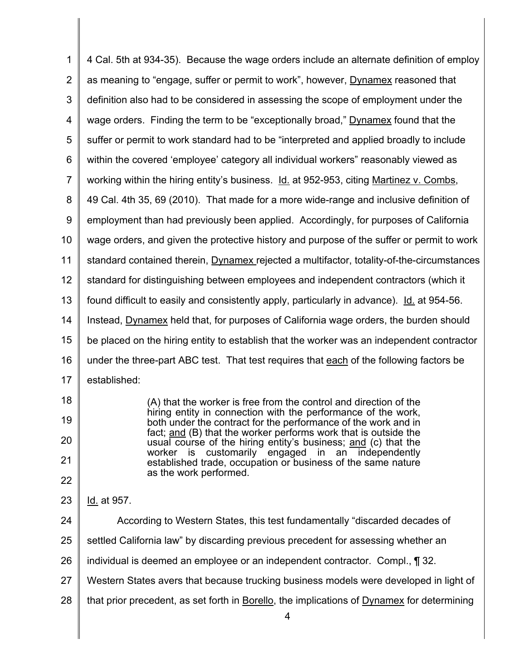| 1              | 4 Cal. 5th at 934-35). Because the wage orders include an alternate definition of employ                                          |  |
|----------------|-----------------------------------------------------------------------------------------------------------------------------------|--|
| $\overline{2}$ | as meaning to "engage, suffer or permit to work", however, Dynamex reasoned that                                                  |  |
| 3              | definition also had to be considered in assessing the scope of employment under the                                               |  |
| 4              | wage orders. Finding the term to be "exceptionally broad," Dynamex found that the                                                 |  |
| 5              | suffer or permit to work standard had to be "interpreted and applied broadly to include                                           |  |
| 6              | within the covered 'employee' category all individual workers" reasonably viewed as                                               |  |
| $\overline{7}$ | working within the hiring entity's business. Id. at 952-953, citing Martinez v. Combs,                                            |  |
| 8              | 49 Cal. 4th 35, 69 (2010). That made for a more wide-range and inclusive definition of                                            |  |
| 9              | employment than had previously been applied. Accordingly, for purposes of California                                              |  |
| 10             | wage orders, and given the protective history and purpose of the suffer or permit to work                                         |  |
| 11             | standard contained therein, Dynamex rejected a multifactor, totality-of-the-circumstances                                         |  |
| 12             | standard for distinguishing between employees and independent contractors (which it                                               |  |
| 13             | found difficult to easily and consistently apply, particularly in advance). Id. at 954-56.                                        |  |
| 14             | Instead, Dynamex held that, for purposes of California wage orders, the burden should                                             |  |
| 15             | be placed on the hiring entity to establish that the worker was an independent contractor                                         |  |
| 16             | under the three-part ABC test. That test requires that each of the following factors be                                           |  |
| 17             | established:                                                                                                                      |  |
| 18             | (A) that the worker is free from the control and direction of the                                                                 |  |
| 19             | hiring entity in connection with the performance of the work,<br>both under the contract for the performance of the work and in   |  |
| 20             | fact; and (B) that the worker performs work that is outside the<br>usual course of the hiring entity's business; and (c) that the |  |
| 21             | customarily engaged in an independently<br>worker is<br>established trade, occupation or business of the same nature              |  |
| 22             | as the work performed.                                                                                                            |  |
| 23             | Id. at 957.                                                                                                                       |  |
| 24             | According to Western States, this test fundamentally "discarded decades of                                                        |  |
| 25             | settled California law" by discarding previous precedent for assessing whether an                                                 |  |
| 26             | individual is deemed an employee or an independent contractor. Compl., ¶ 32.                                                      |  |
| 27             | Western States avers that because trucking business models were developed in light of                                             |  |
| 28             | that prior precedent, as set forth in Borello, the implications of Dynamex for determining<br>4                                   |  |

║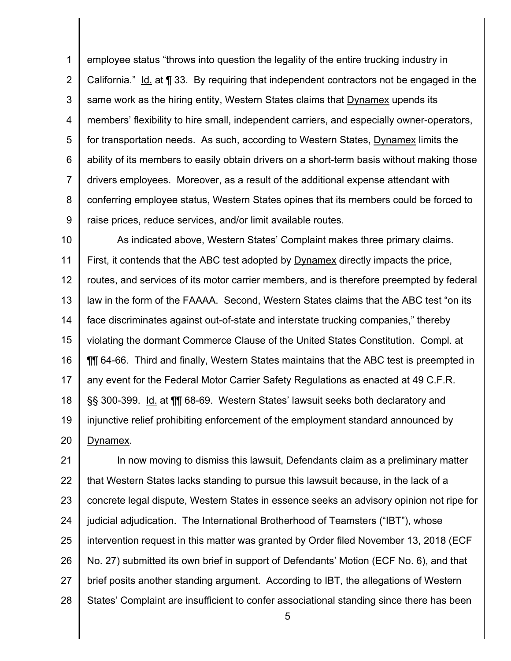1 2 3 4 5 6 7 8 9 employee status "throws into question the legality of the entire trucking industry in California." Id. at ¶ 33. By requiring that independent contractors not be engaged in the same work as the hiring entity, Western States claims that **Dynamex** upends its members' flexibility to hire small, independent carriers, and especially owner -operators, for transportation needs. As such, according to Western States, Dynamex limits the ability of its members to easily obtain drivers on a short -term basis without making those drivers employees. Moreover, as a result of the additional expense attendant with conferring employee status, Western States opines that its members could be forced to raise prices, reduce services, and/or limit available routes.

10 11 12 13 14 15 16 17 18 19 20 As indicated above, Western States' Complaint makes three primary claims. First, it contends that the ABC test adopted by Dynamex directly impacts the price, routes, and services of its motor carrier members, and is therefore preempted by federal law in the form of the FAAAA. Second, Western States claims that the ABC test "on its face discriminates against out-of-state and interstate trucking companies," thereby violating the dormant Commerce Clause of the United States Constitution. Compl. at ¶¶ 64-66. Third and finally, Western States maintains that the ABC test is preempted in any event for the Federal Motor Carrier Safety Regulations as enacted at 49 C.F.R. §§ 300-399. Id. at ¶¶ 68-69. Western States' lawsuit seeks both declaratory and injunctive relief prohibiting enforcement of the employment standard announced by Dynamex.

21 22 23 24 25 26 27 28 In now moving to dismiss this lawsuit, Defendants claim as a preliminary matter that Western States lacks standing to pursue this lawsuit because, in the lack of a concrete legal dispute, Western States in essence seeks an advisory opinion not ripe for judicial adjudication. The International Brotherhood of Teamsters ("IBT"), whose intervention request in this matter was granted by Order filed November 13, 2018 (ECF No. 27) submitted its own brief in support of Defendants' Motion (ECF No. 6), and that brief posits another standing argument. According to IBT, the allegations of Western States' Complaint are insufficient to confer associational standing since there has been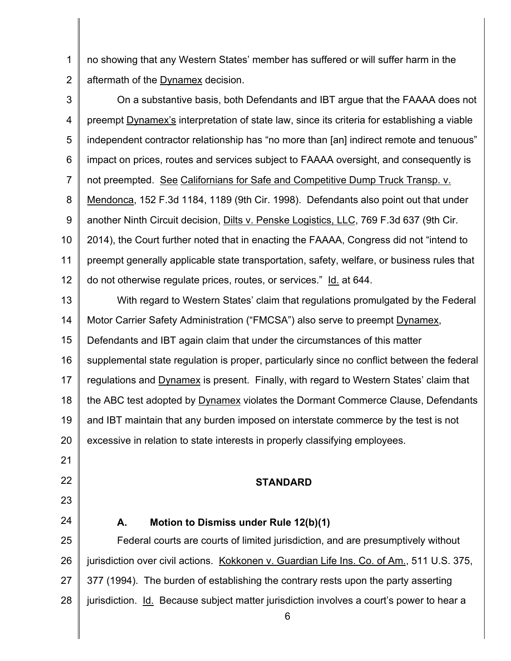1 2 no showing that any Western States' member has suffered or will suffer harm in the aftermath of the Dynamex decision.

3 4 5 6 7 8 9 10 11 12 On a substantive basis, both Defendants and IBT argue that the FAAAA does not preempt Dynamex's interpretation of state law, since its criteria for establishing a viable independent contractor relationship has "no more than [an] indirect remote and tenuous" impact on prices, routes and services subject to FAAAA oversight, and consequently is not preempted. See Californians for Safe and Competitive Dump Truck Transp. v. Mendonca, 152 F.3d 1184, 1189 (9th Cir. 1998). Defendants also point out that under another Ninth Circuit decision, Dilts v. Penske Logistics, LLC, 769 F.3d 637 (9th Cir. 2014), the Court further noted that in enacting the FAAAA, Congress did not "intend to preempt generally applicable state transportation, safety, welfare, or business rules that do not otherwise regulate prices, routes, or services." Id. at 644.

13 14 15 16 17 18 19 20 With regard to Western States' claim that regulations promulgated by the Federal Motor Carrier Safety Administration ("FMCSA") also serve to preempt Dynamex, Defendants and IBT again claim that under the circumstances of this matter supplemental state regulation is proper, particularly since no conflict between the federal regulations and Dynamex is present. Finally, with regard to Western States' claim that the ABC test adopted by Dynamex violates the Dormant Commerce Clause, Defendants and IBT maintain that any burden imposed on interstate commerce by the test is not excessive in relation to state interests in properly classifying employees.

# **STANDARD**

# **A. Motion to Dismiss under Rule 12(b)(1)**

21

22

23

24

25 26 27 28 Federal courts are courts of limited jurisdiction, and are presumptively without jurisdiction over civil actions. Kokkonen v. Guardian Life Ins. Co. of Am. , 511 U.S. 375, 377 (1994). The burden of establishing the contrary rests upon the party asserting jurisdiction. Id. Because subject matter jurisdiction involves a court's power to hear a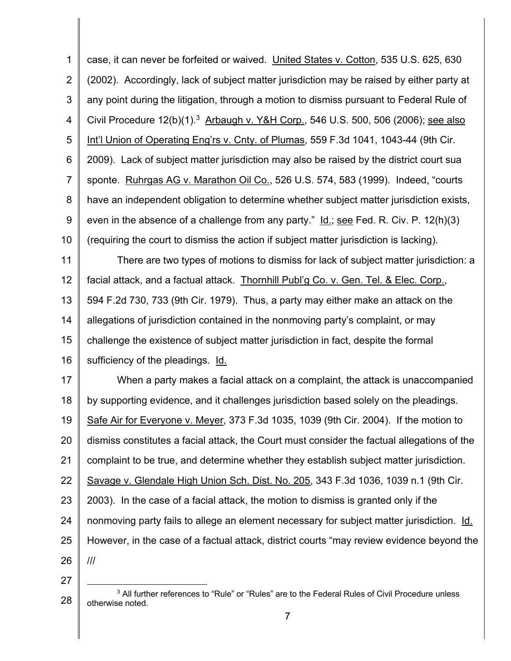1 2 3 4 5 6 7 8 9 10 11 12 13 14 15 case, it can never be forfeited or waived. United States v. Cotton , 535 U.S. 625, 630 (2002). Accordingly, lack of subject matter jurisdiction may be raised by either party at any point during the litigation, through a motion to dismiss pursuant to Federal Rule of Civil Procedure  $12(b)(1)^3$  Arbaugh v. Y&H Corp., 546 U.S. 500, 506 (2006); see also Int'l Union of Operating Eng'rs v. Cnty. of Plumas, 559 F.3d 1041, 1043-44 (9th Cir. 2009). Lack of subject matter jurisdiction may also be raised by the district court sua sponte. Ruhrgas AG v. Marathon Oil Co., 526 U.S. 574, 583 (1999). Indeed, "courts have an independent obligation to determine whether subject matter jurisdiction exists, even in the absence of a challenge from any party."  $\underline{\mathsf{Id}}$ .; see Fed. R. Civ. P. 12(h)(3) (requiring the court to dismiss the action if subject matter jurisdiction is lacking). There are two types of motions to dismiss for lack of subject matter jurisdiction: a facial attack, and a factual attack. Thornhill Publ'g Co. v. Gen. Tel. & Elec. Corp. , 594 F.2d 730, 733 (9th Cir. 1979). Thus, a party may either make an attack on the allegations of jurisdiction contained in the nonmoving party's complaint, or may challenge the existence of subject matter jurisdiction in fact, despite the formal

17 18 19 20 21 22 23 24 25 26 When a party makes a facial attack on a complaint, the attack is unaccompanied by supporting evidence, and it challenges jurisdiction based solely on the pleadings. Safe Air for Everyone v. Meyer, 373 F.3d 1035, 1039 (9th Cir. 2004). If the motion to dismiss constitutes a facial attack, the Court must consider the factual allegations of the complaint to be true, and determine whether they establish subject matter jurisdiction. Savage v. Glendale High Union Sch. Dist. No. 205, 343 F.3d 1036, 1039 n.1 (9th Cir. 2003). In the case of a facial attack, the motion to dismiss is granted only if the nonmoving party fails to allege an element necessary for subject matter jurisdiction. Id. However, in the case of a factual attack, district courts "may review evidence beyond the ///

27

16

sufficiency of the pleadings. Id.

<sup>28</sup> <sup>3</sup> All further references to "Rule" or "Rules" are to the Federal Rules of Civil Procedure unless otherwise noted.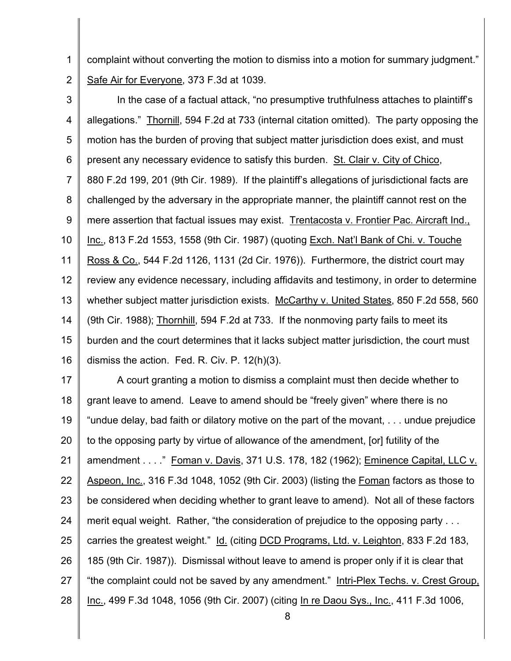complaint without converting the motion to dismiss into a motion for summary judgment." 1 2 Safe Air for Everyone, 373 F.3d at 1039.

 In the case of a factual attack, "no presumptive truthfulness attaches to plaintiff's allegations." Thornill, 594 F.2d at 733 (internal citation omitted). The party opposing the motion has the burden of proving that subject matter jurisdiction does exist, and must present any necessary evidence to satisfy this burden. St. Clair v. City of Chico, 880 F.2d 199, 201 (9th Cir. 1989). If the plaintiff's allegations of jurisdictional facts are challenged by the adversary in the appropriate manner, the plaintiff cannot rest on the mere assertion that factual issues may exist. Trentacosta v. Frontier Pac. Aircraft Ind., Inc., 813 F.2d 1553, 1558 (9th Cir. 1987) (quoting Exch. Nat'l Bank of Chi. v. Touche Ross & Co., 544 F.2d 1126, 1131 (2d Cir. 1976)). Furthermore, the district court may review any evidence necessary, including affidavits and testimony, in order to determine whether subject matter jurisdiction exists. McCarthy v. United States, 850 F.2d 558, 560 (9th Cir. 1988); Thornhill, 594 F.2d at 733. If the nonmoving party fails to meet its burden and the court determines that it lacks subject matter jurisdiction, the court must dismiss the action. Fed. R. Civ. P. 12(h)(3). 3 4 5 6 7 8 9 10 11 12 13 14 15 16

 A court granting a motion to dismiss a complaint must then decide whether to grant leave to amend. Leave to amend should be "freely given" where there is no "undue delay, bad faith or dilatory motive on the part of the movant, . . . undue prejudice to the opposing party by virtue of allowance of the amendment, [or] futility of the amendment . . . ." Foman v. Davis, 371 U.S. 178, 182 (1962); Eminence Capital, LLC v. Aspeon, Inc., 316 F.3d 1048, 1052 (9th Cir. 2003) (listing the <u>Foman</u> factors as those to be considered when deciding whether to grant leave to amend). Not all of these factors merit equal weight. Rather, "the consideration of prejudice to the opposing party . . . carries the greatest weight." Id. (citing DCD Programs, Ltd. v. Leighton, 833 F.2d 183, 185 (9th Cir. 1987)). Dismissal without leave to amend is proper only if it is clear that "the complaint could not be saved by any amendment." Intri-Plex Techs. v. Crest Group, <u>Inc.,</u> 499 F.3d 1048, 1056 (9th Cir. 2007) (citing <u>In re Daou Sys., Inc.</u>, 411 F.3d 1006, 17 18 19 20 21 22 23 24 25 26 27 28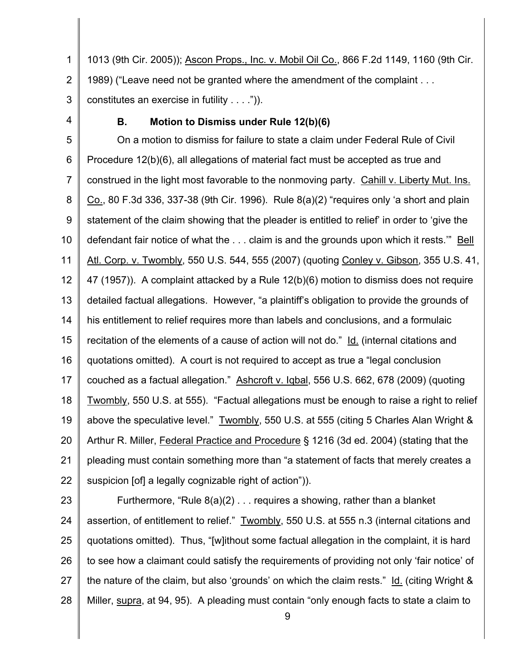1 2 3 1013 (9th Cir. 2005)); Ascon Props., Inc. v. Mobil Oil Co. , 866 F.2d 1149, 1160 (9th Cir. 1989) ("Leave need not be granted where the amendment of the complaint . . . constitutes an exercise in futility . . . .")).

4

#### **B. Motion to Dismiss under Rule 12(b)(6)**

5 6 7 8 9 10 11 12 13 14 15 16 17 18 19 20 21 22 On a motion to dismiss for failure to state a claim under Federal Rule of Civil Procedure 12(b)(6), all allegations of material fact must be accepted as true and construed in the light most favorable to the nonmoving party. Cahill v. Liberty Mut. Ins. Co., 80 F.3d 336, 337-38 (9th Cir. 1996). Rule 8(a)(2) "requires only 'a short and plain statement of the claim showing that the pleader is entitled to relief' in order to 'give the defendant fair notice of what the . . . claim is and the grounds upon which it rests.'" Bell Atl. Corp. v. Twombly, 550 U.S. 544, 555 (2007) (quoting Conley v. Gibson, 355 U.S. 41, 47 (1957)). A complaint attacked by a Rule 12(b)(6) motion to dismiss does not require detailed factual allegations. However, "a plaintiff's obligation to provide the grounds of his entitlement to relief requires more than labels and conclusions, and a formulaic recitation of the elements of a cause of action will not do." Id. (internal citations and quotations omitted). A court is not required to accept as true a "legal conclusion couched as a factual allegation." Ashcroft v. Iqbal, 556 U.S. 662, 678 (2009) (quoting Twombly, 550 U.S. at 555). "Factual allegations must be enough to raise a right to relief above the speculative level." Twombly, 550 U.S. at 555 (citing 5 Charles Alan Wright & Arthur R. Miller, Federal Practice and Procedure § 1216 (3d ed. 2004) (stating that the pleading must contain something more than "a statement of facts that merely creates a suspicion [of] a legally cognizable right of action")).

23 24 25 26 27 28 Furthermore, "Rule  $8(a)(2)$ ... requires a showing, rather than a blanket assertion, of entitlement to relief." Twombly, 550 U.S. at 555 n.3 (internal citations and quotations omitted). Thus, "[w]ithout some factual allegation in the complaint, it is hard to see how a claimant could satisfy the requirements of providing not only 'fair notice' of the nature of the claim, but also 'grounds ' on which the claim rests." Id. (citing Wright & Miller, supra, at 94, 95). A pleading must contain "only enough facts to state a claim to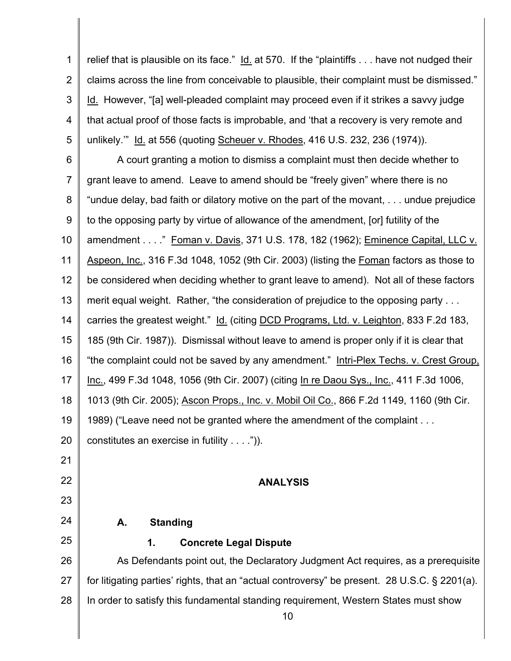1 2 3 4 5 relief that is plausible on its face." Id. at 570. If the "plaintiffs . . . have not nudged their claims across the line from conceivable to plausible, their complaint must be dismissed." Id. However, "[a] well-pleaded complaint may proceed even if it strikes a savvy judge that actual proof of those facts is improbable, and 'that a recovery is very remote and unlikely.'" Id. at 556 (quoting Scheuer v. Rhodes, 416 U.S. 232, 236 (1974)).

6 7 8 9 10 11 12 13 14 15 16 17 18 19 20 21 A court granting a motion to dismiss a complaint must then decide whether to grant leave to amend. Leave to amend should be "freely given" where there is no "undue delay, bad faith or dilatory motive on the part of the movant, . . . undue prejudice to the opposing party by virtue of allowance of the amendment, [or] futility of the amendment . . . ." Foman v. Davis , 371 U.S. 178, 182 (1962); Eminence Capital, LLC v. Aspeon, Inc., 316 F.3d 1048, 1052 (9th Cir. 2003) (listing the Foman factors as those to be considered when deciding whether to grant leave to amend). Not all of these factors merit equal weight. Rather, "the consideration of prejudice to the opposing party . . . carries the greatest weight." Id. (citing DCD Programs, Ltd. v. Leighton, 833 F.2d 183, 185 (9th Cir. 1987)). Dismissal without leave to amend is proper only if it is clear that "the complaint could not be saved by any amendment." Intri-Plex Techs. v. Crest Group, Inc., 499 F.3d 1048, 1056 (9th Cir. 2007) (citing In re Daou Sys., Inc., 411 F.3d 1006, 1013 (9th Cir. 2005); Ascon Props., Inc. v. Mobil Oil Co. , 866 F.2d 1149, 1160 (9th Cir. 1989) ("Leave need not be granted where the amendment of the complaint . . . constitutes an exercise in futility . . . .")).

#### **ANALYSIS**

# **A. Standing**

22

23

24

25

# **1. Concrete Legal Dispute**

26 27 28 As Defendants point out, the Declaratory Judgment Act requires, as a prerequisite for litigating parties' rights, that an "actual controversy" be present. 28 U.S.C. § 2201(a). In order to satisfy this fundamental standing requirement, Western States must show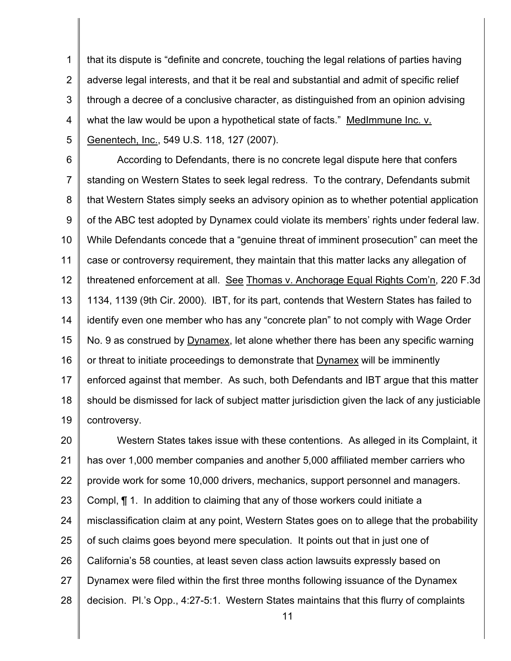1 2 3 4 5 that its dispute is "definite and concrete, touching the legal relations of parties having adverse legal interests, and that it be real and substantial and admit of specific relief through a decree of a conclusive character, as distinguished from an opinion advising what the law would be upon a hypothetical state of facts." MedImmune Inc. v. Genentech, Inc., 549 U.S. 118, 127 (2007).

6 7 8 9 10 11 12 13 14 15 16 17 18 19 According to Defendants, there is no concrete legal dispute here that confers standing on Western States to seek legal redress. To the contrary, Defendants submit that Western States simply seeks an advisory opinion as to whether potential application of the ABC test adopted by Dynamex could violate its members' rights under federal law. While Defendants concede that a "genuine threat of imminent prosecution" can meet the case or controversy requirement, they maintain that this matter lacks any allegation of threatened enforcement at all. See Thomas v. Anchorage Equal Rights Com'n, 220 F.3d 1134, 1139 (9th Cir. 2000). IBT, for its part, contends that Western States has failed to identify even one member who has any "concrete plan" to not comply with Wage Order No. 9 as construed by Dynamex, let alone whether there has been any specific warning or threat to initiate proceedings to demonstrate that Dynamex will be imminently enforced against that member. As such, both Defendants and IBT argue that this matter should be dismissed for lack of subject matter jurisdiction given the lack of any justiciable controversy.

20 21 22 23 24 25 26 27 28 Western States takes issue with these contentions. As alleged in its Complaint, it has over 1,000 member companies and another 5,000 affiliated member carriers who provide work for some 10,000 drivers, mechanics, support personnel and managers. Compl, ¶ 1. In addition to claiming that any of those workers could initiate a misclassification claim at any point, Western States goes on to allege that the probability of such claims goes beyond mere speculation. It points out that in just one of California's 58 counties, at least seven class action lawsuits expressly based on Dynamex were filed within the first three months following issuance of the Dynamex decision. Pl.'s Opp., 4:27-5:1. Western States maintains that this flurry of complaints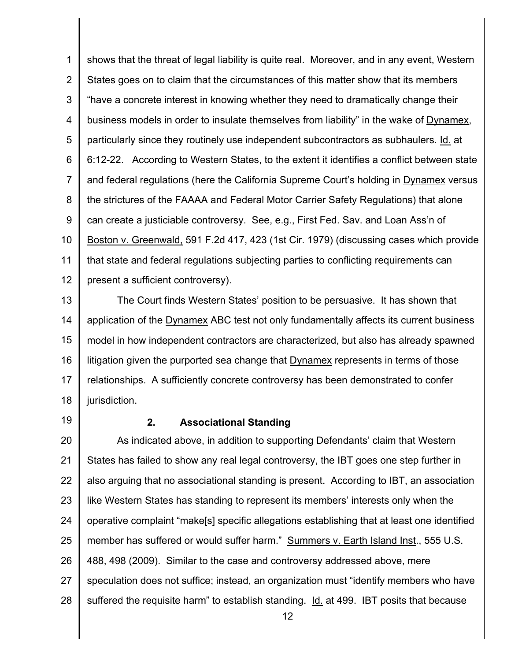1 2 3 4 5 6 7 8 9 10 11 12 shows that the threat of legal liability is quite real. Moreover, and in any event, Western States goes on to claim that the circumstances of this matter show that its members "have a concrete interest in knowing whether they need to dramatically change their business models in order to insulate themselves from liability" in the wake of Dynamex, particularly since they routinely use independent subcontractors as subhaulers. Id. at 6:12-22. According to Western States, to the extent it identifies a conflict between state and federal regulations (here the California Supreme Court's holding in Dynamex versus the strictures of the FAAAA and Federal Motor Carrier Safety Regulations) that alone can create a justiciable controversy. See, e.g., First Fed. Sav. and Loan Ass'n of Boston v. Greenwald, 591 F.2d 417, 423 (1st Cir. 1979) (discussing cases which provide that state and federal regulations subjecting parties to conflicting requirements can present a sufficient controversy).

13 14 15 16 17 18 The Court finds Western States' position to be persuasive. It has shown that application of the **Dynamex ABC** test not only fundamentally affects its current business model in how independent contractors are characterized, but also has already spawned litigation given the purported sea change that Dynamex represents in terms of those relationships. A sufficiently concrete controversy has been demonstrated to confer jurisdiction.

19

#### **2. Associational Standing**

20 21 22 23 24 25 26 27 28 As indicated above, in addition to supporting Defendants' claim that Western States has failed to show any real legal controversy, the IBT goes one step further in also arguing that no associational standing is present. According to IBT, an association like Western States has standing to represent its members ' interests only when the operative complaint "make[s] specific allegations establishing that at least one identified member has suffered or would suffer harm." Summers v. Earth Island Inst., 555 U.S. 488, 498 (2009). Similar to the case and controversy addressed above, mere speculation does not suffice; instead, an organization must "identify members who have suffered the requisite harm" to establish standing. Id. at 499. IBT posits that because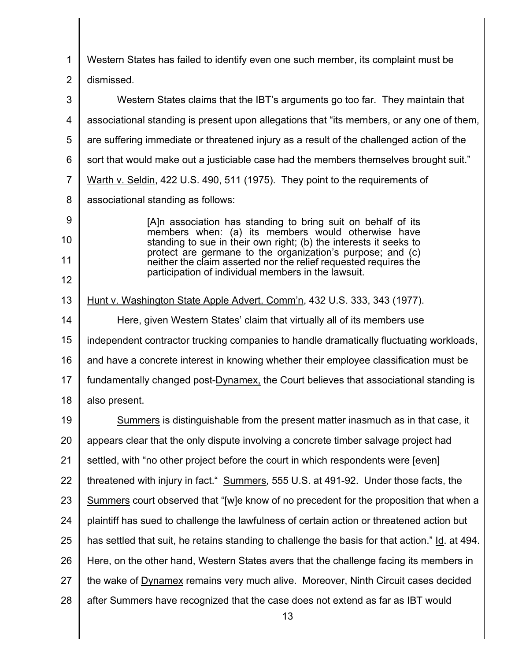1 2 Western States has failed to identify even one such member, its complaint must be dismissed.

3 4 5 6 7 8 9 10 Western States claims that the IBT's arguments go too far. They maintain that associational standing is present upon allegations that "its members, or any one of them, are suffering immediate or threatened injury as a result of the challenged action of the sort that would make out a justiciable case had the members themselves brought suit." Warth v. Seldin, 422 U.S. 490, 511 (1975). They point to the requirements of associational standing as follows: [A]n association has standing to bring suit on behalf of its members when: (a) its members would otherwise have

standing to sue in their own right; (b) the interests it seeks to protect are germane to the organization's purpose; and (c) neither the claim asserted nor the relief requested requires the participation of individual members in the lawsuit.

11

12

13 14 15 16 17 18 Hunt v. Washington State Apple Advert. Comm'n , 432 U.S. 333, 343 (1977). Here, given Western States' claim that virtually all of its members use independent contractor trucking companies to handle dramatically fluctuating workloads, and have a concrete interest in knowing whether their employee classification must be fundamentally changed post-Dynamex, the Court believes that associational standing is also present.

19 20 21 22 23 24 25 26 27 28 Summers is distinguishable from the present matter inasmuch as in that case, it appears clear that the only dispute involving a concrete timber salvage project had settled, with "no other project before the court in which respondents were [even] threatened with injury in fact ." Summers, 555 U.S. at 491-92. Under those facts, the Summers court observed that "[w]e know of no precedent for the proposition that when a plaintiff has sued to challenge the lawfulness of certain action or threatened action but has settled that suit, he retains standing to challenge the basis for that action." Id. at 494. Here, on the other hand, Western States avers that the challenge facing its members in the wake of **Dynamex** remains very much alive. Moreover, Ninth Circuit cases decided after Summers have recognized that the case does not extend as far as IBT would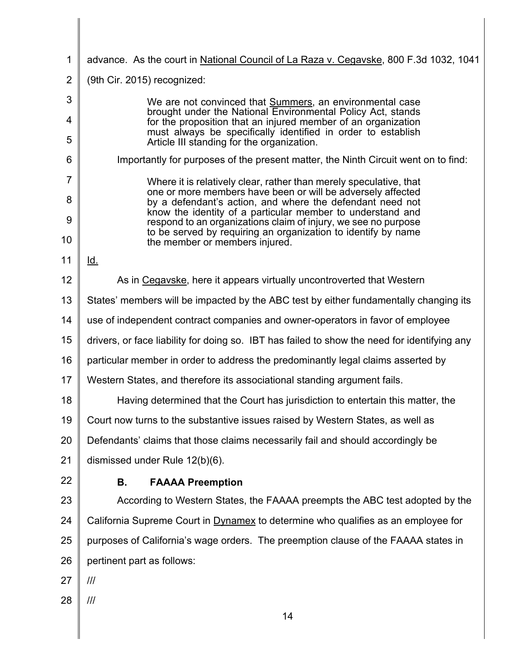| 1              | advance. As the court in National Council of La Raza v. Cegavske, 800 F.3d 1032, 1041                                             |  |
|----------------|-----------------------------------------------------------------------------------------------------------------------------------|--|
| $\overline{2}$ | (9th Cir. 2015) recognized:                                                                                                       |  |
| 3              | We are not convinced that Summers, an environmental case                                                                          |  |
| 4              | brought under the National Environmental Policy Act, stands<br>for the proposition that an injured member of an organization      |  |
| 5              | must always be specifically identified in order to establish<br>Article III standing for the organization.                        |  |
| 6              | Importantly for purposes of the present matter, the Ninth Circuit went on to find:                                                |  |
| $\overline{7}$ | Where it is relatively clear, rather than merely speculative, that<br>one or more members have been or will be adversely affected |  |
| 8              | by a defendant's action, and where the defendant need not<br>know the identity of a particular member to understand and           |  |
| 9              | respond to an organizations claim of injury, we see no purpose<br>to be served by requiring an organization to identify by name   |  |
| 10             | the member or members injured.                                                                                                    |  |
| 11             | Id.                                                                                                                               |  |
| 12             | As in Cegavske, here it appears virtually uncontroverted that Western                                                             |  |
| 13             | States' members will be impacted by the ABC test by either fundamentally changing its                                             |  |
| 14             | use of independent contract companies and owner-operators in favor of employee                                                    |  |
| 15             | drivers, or face liability for doing so. IBT has failed to show the need for identifying any                                      |  |
| 16             | particular member in order to address the predominantly legal claims asserted by                                                  |  |
| 17             | Western States, and therefore its associational standing argument fails.                                                          |  |
| 18             | Having determined that the Court has jurisdiction to entertain this matter, the                                                   |  |
| 19             | Court now turns to the substantive issues raised by Western States, as well as                                                    |  |
| 20             | Defendants' claims that those claims necessarily fail and should accordingly be                                                   |  |
| 21             | dismissed under Rule 12(b)(6).                                                                                                    |  |
| 22             | <b>FAAAA Preemption</b><br>В.                                                                                                     |  |
| 23             | According to Western States, the FAAAA preempts the ABC test adopted by the                                                       |  |
| 24             | California Supreme Court in Dynamex to determine who qualifies as an employee for                                                 |  |
| 25             | purposes of California's wage orders. The preemption clause of the FAAAA states in                                                |  |
| 26             | pertinent part as follows:                                                                                                        |  |
| 27             | III                                                                                                                               |  |
| 28             | III                                                                                                                               |  |
|                | 14                                                                                                                                |  |

 $\parallel$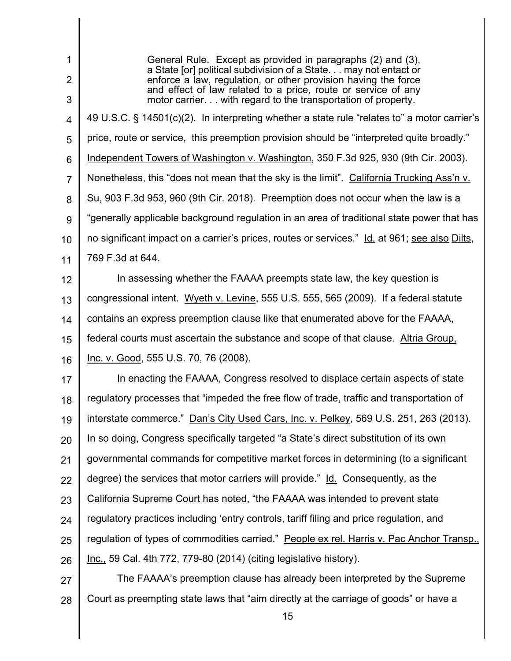General Rule. Except as provided in paragraphs (2) and (3), a State [or] political subdivision of a State. . . may not entact or enforce a law, regulation, or other provision having the force and effect of law related to a price, route or service of any motor carrier. . . with regard to the transportation of property. 49 U.S.C. § 14501(c)(2). In interpreting whether a state rule "relates to" a motor carrier's price, route or service, this preemption provision should be "interpreted quite broadly." Independent Towers of Washington v. Washington, 350 F.3d 925, 930 (9th Cir. 2003). Nonetheless, this "does not mean that the sky is the limit". California Trucking Ass'n v. Su, 903 F.3d 953, 960 (9th Cir. 2018). Preemption does not occur when the law is a "generally applicable background regulation in an area of traditional state power that has no significant impact on a carrier's prices, routes or services." Id. at 961; see also Dilts, In assessing whether the FAAAA preempts state law, the key question is congressional intent. Wyeth v. Levine, 555 U.S. 555, 565 (2009). If a federal statute contains an express preemption clause like that enumerated above for the FAAAA, federal courts must ascertain the substance and scope of that clause. Altria Group, Inc. v. Good, 555 U.S. 70, 76 (2008). regulatory processes that "impeded the free flow of trade, traffic and transportation of interstate commerce." Dan's City Used Cars, Inc. v. Pelkey, 569 U.S. 251, 263 (2013). In so doing, Congress specifically targeted "a State's direct substitution of its own governmental commands for competitive market forces in determining (to a significant degree) the services that motor carriers will provide." Id. Consequently, as the California Supreme Court has noted, "the FAAAA was intended to prevent state regulatory practices including 'entry controls, tariff filing and price regulation, and regulation of types of commodities carried." People ex rel. Harris v. Pac Anchor Transp., Inc., 59 Cal. 4th 772, 779-80 (2014) (citing legislative history). 1 2 3 4 5 6 7 8 9 10 11 12 13 14 15 16 17 18 19 20 21 22 23 24 25 26 27 769 F.3d at 644. In enacting the FAAAA, Congress resolved to displace certain aspects of state The FAAAA's preemption clause has already been interpreted by the Supreme

 Court as preempting state laws that "aim directly at the carriage of goods" or have a 28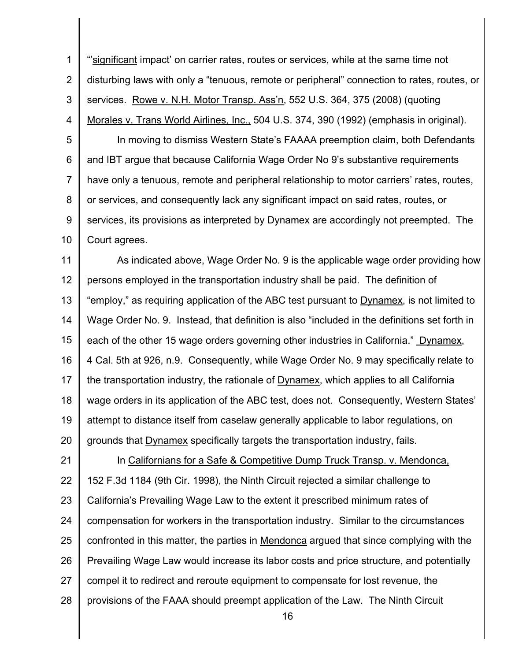1 2 3 4 "'significant impact' on carrier rates, routes or services, while at the same time not disturbing laws with only a "tenuous, remote or peripheral" connection to rates, routes, or services. Rowe v. N.H. Motor Transp. Ass'n, 552 U.S. 364, 375 (2008) (quoting Morales v. Trans World Airlines, Inc., 504 U.S. 374, 390 (1992) (emphasis in original).

5 6 7 8 9 10 In moving to dismiss Western State's FAAAA preemption claim, both Defendants and IBT argue that because California Wage Order No 9's substantive requirements have only a tenuous, remote and peripheral relationship to motor carriers' rates, routes, or services, and consequently lack any significant impact on said rates, routes, or services, its provisions as interpreted by **Dynamex** are accordingly not preempted. The Court agrees.

11 12 13 14 15 16 17 18 19 20 As indicated above, Wage Order No. 9 is the applicable wage order providing how persons employed in the transportation industry shall be paid . The definition of "employ," as requiring application of the ABC test pursuant to Dynamex, is not limited to Wage Order No. 9. Instead, that definition is also "included in the definitions set forth in each of the other 15 wage orders governing other industries in California." Dynamex, 4 Cal. 5th at 926, n.9. Consequently, while Wage Order No. 9 may specifically relate to the transportation industry, the rationale of Dynamex, which applies to all California wage orders in its application of the ABC test, does not. Consequently, Western States' attempt to distance itself from caselaw generally applicable to labor regulations, on grounds that Dynamex specifically targets the transportation industry, fails.

21 22 23 24 25 26 27 28 In Californians for a Safe & Competitive Dump Truck Transp. v. Mendonca, 152 F.3d 1184 (9th Cir. 1998), the Ninth Circuit rejected a similar challenge to California's Prevailing Wage Law to the extent it prescribed minimum rates of compensation for workers in the transportation industry. Similar to the circumstances confronted in this matter, the parties in Mendonca argued that since complying with the Prevailing Wage Law would increase its labor costs and price structure, and potentially compel it to redirect and reroute equipment to compensate for lost revenue, the provisions of the FAAA should preempt application of the Law. The Ninth Circuit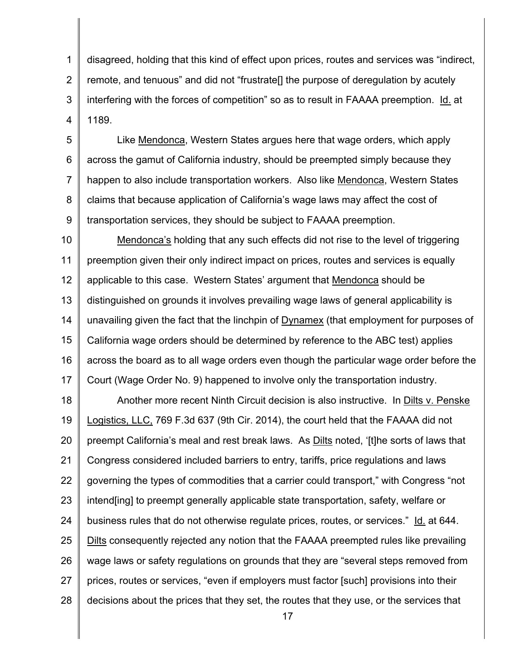1 2 3 4 disagreed, holding that this kind of effect upon prices, routes and services was "indirect, remote, and tenuous" and did not "frustrate[] the purpose of deregulation by acutely interfering with the forces of competition" so as to result in FAAAA preemption. Id. at 1189.

5 6 7 8 9 Like Mendonca, Western States argues here that wage orders, which apply across the gamut of California industry, should be preempted simply because they happen to also include transportation workers. Also like Mendonca, Western States claims that because application of California's wage laws may affect the cost of transportation services, they should be subject to FAAAA preemption.

10 11 12 13 14 15 16 17 Mendonca's holding that any such effects did not rise to the level of triggering preemption given their only indirect impact on prices, routes and services is equally applicable to this case. Western States' argument that Mendonca should be distinguished on grounds it involves prevailing wage laws of general applicability is unavailing given the fact that the linchpin of **Dynamex** (that employment for purposes of California wage orders should be determined by reference to the ABC test) applies across the board as to all wage orders even though the particular wage order before the Court (Wage Order No. 9) happened to involve only the transportation industry.

18 19 20 21 22 23 24 25 26 27 28 Another more recent Ninth Circuit decision is also instructive. In Dilts v. Penske Logistics, LLC, 769 F.3d 637 (9th Cir. 2014), the court held that the FAAAA did not preempt California's meal and rest break laws. As Dilts noted, '[t]he sorts of laws that Congress considered included barriers to entry, tariffs, price regulations and laws governing the types of commodities that a carrier could transport," with Congress "not intend[ing] to preempt generally applicable state transportation, safety, welfare or business rules that do not otherwise regulate prices, routes, or services." Id. at 644. Dilts consequently rejected any notion that the FAAAA preempted rules like prevailing wage laws or safety regulations on grounds that they are "several steps removed from prices, routes or services, "even if employers must factor [such] provisions into their decisions about the prices that they set, the routes that they use, or the services that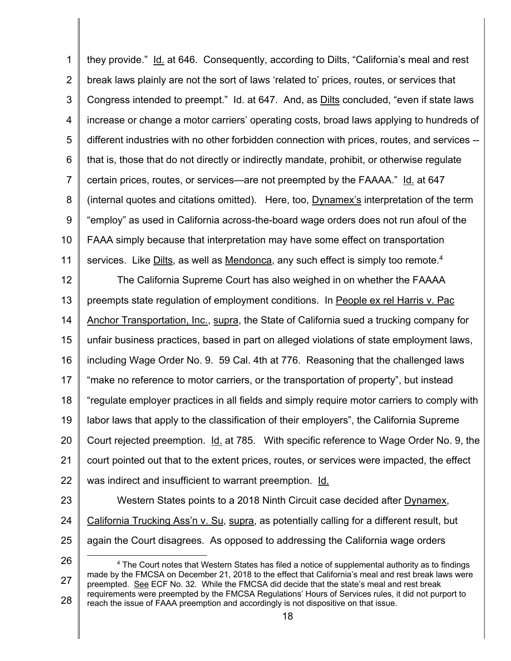1 2 3 4 5 6 7 8 9 10 11 they provide." Id. at 646. Consequently, according to Dilts, "California's meal and rest break laws plainly are not the sort of laws 'related to' prices , routes, or services that Congress intended to preempt." Id. at 647. And, as **Dilts concluded**, "even if state laws increase or change a motor carriers' operating costs, broad laws applying to hundreds of different industries with no other forbidden connection with prices, routes, and services - that is, those that do not directly or indirectly mandate, prohibit, or otherwise regulate certain prices, routes, or services—are not preempted by the FAAAA." Id. at 647 (internal quotes and citations omitted) . Here, too, Dynamex's interpretation of the term "employ" as used in California across -the-board wage orders does not run afoul of the FAAA simply because that interpretation may have some effect on transportation services. Like Dilts, as well as Mendonca, any such effect is simply too remote.<sup>4</sup>

12 13 14 15 16 17 18 19 20 21 22 The California Supreme Court has also weighed in on whether the FAAAA preempts state regulation of employment conditions. In People ex rel Harris v. Pac Anchor Transportation, Inc., supra, the State of California sued a trucking company for unfair business practices, based in part on alleged violations of state employment laws, including Wage Order No. 9. 59 Cal. 4th at 776. Reasoning that the challenged laws "make no reference to motor carriers, or the transportation of property", but instead "regulate employer practices in all fields and simply require motor carriers to comply with labor laws that apply to the classification of their employers", the California Supreme Court rejected preemption. Id. at 785. With specific reference to Wage Order No. 9, the court pointed out that to the extent prices, routes, or services were impacted, the effect was indirect and insufficient to warrant preemption. Id.

- 23
- 
- 24
- 25

26 27 28 4 The Court notes that Western States has filed a notice of supplemental authority as to findings made by the FMCSA on December 21, 2018 to the effect that California's meal and rest break laws were preempted. See ECF No. 32. While the FMCSA did decide that the state's meal and rest break requirements were preempted by the FMCSA Regulations' Hours of Services rules, it did not purport to reach the issue of FAAA preemption and accordingly is not dispositive on that issue.

again the Court disagrees. As opposed to addressing the California wage orders

18

Western States points to a 2018 Ninth Circuit case decided after Dynamex,

California Trucking Ass'n v. Su, supra, as potentially calling for a different result, but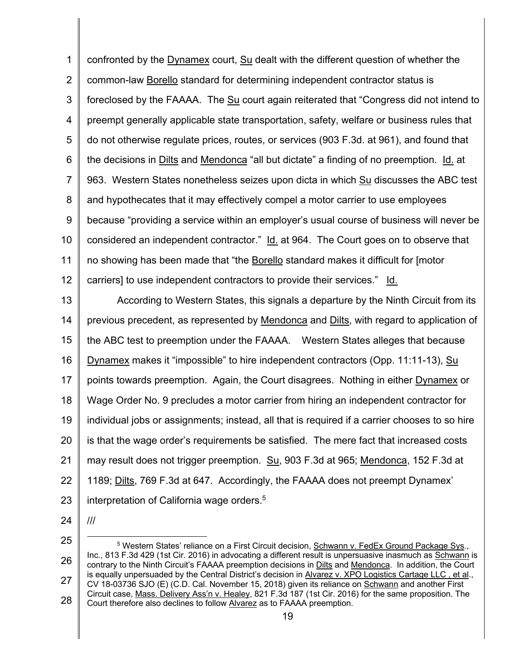confronted by the Dynamex court, Su dealt with the different question of whether the common-law **Borello** standard for determining independent contractor status is foreclosed by the FAAAA. The Su court again reiterated that "Congress did not intend to preempt generally applicable state transportation, safety, welfare or business rules that do not otherwise regulate prices, routes, or services (903 F.3d. at 961), and found that the decisions in Dilts and Mendonca "all but dictate" a finding of no preemption. Id. at 963. Western States nonetheless seizes upon dicta in which Su discusses the ABC test and hypothecates that it may effectively compel a motor carrier to use employees because "providing a service within an employer's usual course of business will never be considered an independent contractor." Id. at 964. The Court goes on to observe that no showing has been made that "the **Borello** standard makes it difficult for [motor carriers] to use independent contractors to provide their services." Id. 1 2 3 4 5 6 7 8 9 10 11 12

 According to Western States, this signals a departure by the Ninth Circuit from its previous precedent, as represented by Mendonca and Dilts, with regard to application of the ABC test to preemption under the FAAAA. Western States alleges that because Dynamex makes it "impossible" to hire independent contractors (Opp. 11:11-13), Su points towards preemption. Again, the Court disagrees. Nothing in either Dynamex or Wage Order No. 9 precludes a motor carrier from hiring an independent contractor for individual jobs or assignments; instead, all that is required if a carrier chooses to so hire is that the wage order's requirements be satisfied. The mere fact that increased costs may result does not trigger preemption. Su, 903 F.3d at 965; Mendonca, 152 F.3d at 1189; Dilts, 769 F.3d at 647. Accordingly, the FAAAA does not preempt Dynamex' interpretation of California wage orders.<sup>5</sup> 13 14 15 16 17 18 19 20 21 22 23

24

///

l Inc., 813 F.3d 429 (1st Cir. 2016) in advocating a different result is unpersuasive inasmuch as Schwann is is equally unpersuaded by the Central District's decision in Alvarez v. XPO Logistics Cartage LLC, et al., CV 18-03736 SJO (E) (C.D. Cal. November 15, 2018) given its reliance on Schwann and another First Circuit case, Mass. Delivery Ass'n v. Healey, 821 F.3d 187 (1st Cir. 2016) for the same proposition. The Court therefore also declines to follow <u>Alvarez</u> as to FAAAA preemption.<br>19 25 26 27 28 5 Western States' reliance on a First Circuit decision, Schwann v. FedEx Ground Package Sys., contrary to the Ninth Circuit's FAAAA preemption decisions in Dilts and Mendonca. In addition, the Court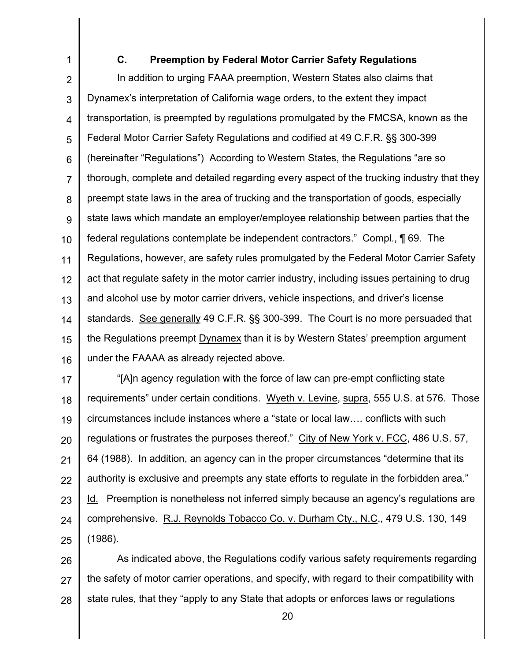1 2 3 4 5 6 7 8 9 10 11 12 13 14 15 16 **C. Preemption by Federal Motor Carrier Safety Regulations**  In addition to urging FAAA preemption, Western States also claims that Dynamex's interpretation of California wage orders, to the extent they impact transportation, is preempted by regulations promulgated by the FMCSA, known as the Federal Motor Carrier Safety Regulations and codified at 49 C.F.R. §§ 300-399 (hereinafter "Regulations") According to Western States, the Regulations "are so thorough, complete and detailed regarding every aspect of the trucking industry that they preempt state laws in the area of trucking and the transportation of goods, especially state laws which mandate an employer/employee relationship between parties that the federal regulations contemplate be independent contractors." Compl., ¶ 69. The Regulations, however, are safety rules promulgated by the Federal Motor Carrier Safety act that regulate safety in the motor carrier industry, including issues pertaining to drug and alcohol use by motor carrier drivers, vehicle inspections, and driver's license standards. See generally 49 C.F.R. §§ 300-399. The Court is no more persuaded that the Regulations preempt Dynamex than it is by Western States' preemption argument under the FAAAA as already rejected above.

17 18 19 20 21 22 23 24 25 "[A]n agency regulation with the force of law can pre -empt conflicting state requirements" under certain conditions. Wyeth v. Levine, supra, 555 U.S. at 576. Those circumstances include instances where a "state or local law…. conflicts with such regulations or frustrates the purposes thereof." City of New York v. FCC , 486 U.S. 57, 64 (1988). In addition, an agency can in the proper circumstances "determine that its authority is exclusive and preempts any state efforts to regulate in the forbidden area." Id. Preemption is nonetheless not inferred simply because an agency's regulations are comprehensive. R.J. Reynolds Tobacco Co. v. Durham Cty., N.C., 479 U.S. 130, 149 (1986).

26 27 28 As indicated above, the Regulations codify various safety requirements regarding the safety of motor carrier operations, and specify, with regard to their compatibility with state rules, that they "apply to any State that adopts or enforces laws or regulations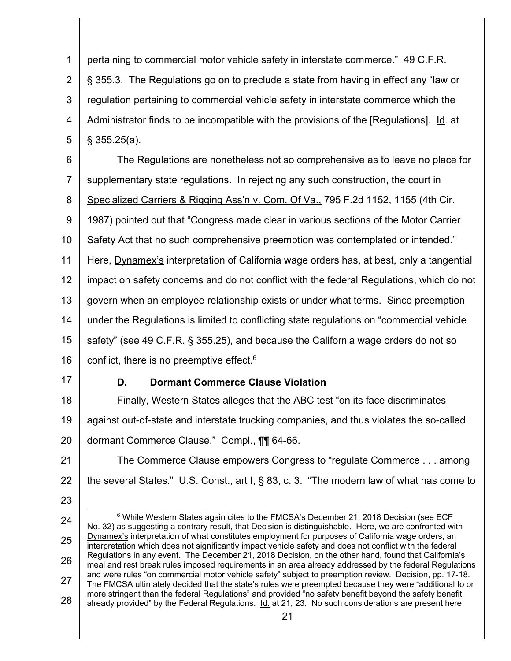1 2 3 4 5 pertaining to commercial motor vehicle safety in interstate commerce. " 49 C.F.R. § 355.3. The Regulations go on to preclude a state from having in effect any "law or regulation pertaining to commercial vehicle safety in interstate commerce which the Administrator finds to be incompatible with the provisions of the [Regulations] . Id. at § 355.25(a).

6 7 8 9 10 11 12 13 14 15 16 The Regulations are nonetheless not so comprehensive as to leave no place for supplementary state regulations. In rejecting any such construction, the court in Specialized Carriers & Rigging Ass'n v. Com. Of Va., 795 F.2d 1152, 1155 (4th Cir. 1987) pointed out that "Congress made clear in various sections of the Motor Carrier Safety Act that no such comprehensive preemption was contemplated or intended." Here, Dynamex's interpretation of California wage orders has , at best, only a tangential impact on safety concerns and do not conflict with the federal Regulations, which do not govern when an employee relationship exists or under what terms. Since preemption under the Regulations is limited to conflicting state regulations on "commercial vehicle safety" (see 49 C.F.R. § 355.25), and because the California wage orders do not so conflict, there is no preemptive effect.<sup>6</sup>

17

23

# **D. Dormant Commerce Clause Violation**

18 19 20 Finally, Western States alleges that the ABC test "on its face discriminates against out-of-state and interstate trucking companies, and thus violates the so -called dormant Commerce Clause." Compl., **[1]** 64-66.

21 22 The Commerce Clause empowers Congress to "regulate Commerce . . . among the several States." U.S. Const., art I, § 83, c. 3. "The modern law of what has come to

24 25 26 27 28 <sup>6</sup> While Western States again cites to the FMCSA's December 21, 2018 Decision (see ECF No. 32) as suggesting a contrary result, that Decision is distinguishable. Here, we are confronted with Dynamex's interpretation of what constitutes employment for purposes of California wage orders, an interpretation which does not significantly impact vehicle safety and does not conflict with the federal Regulations in any event. The December 21, 2018 Decision, on the other hand, found that California's meal and rest break rules imposed requirements in an area already addressed by the federal Regulations and were rules "on commercial motor vehicle safety" subject to preemption review. Decision, pp. 17-18. The FMCSA ultimately decided that the state's rules were preempted because they were "additional to or more stringent than the federal Regulations" and provided "no safety benefit beyond the safety benefit already provided" by the Federal Regulations. Id. at 21, 23. No such considerations are present here.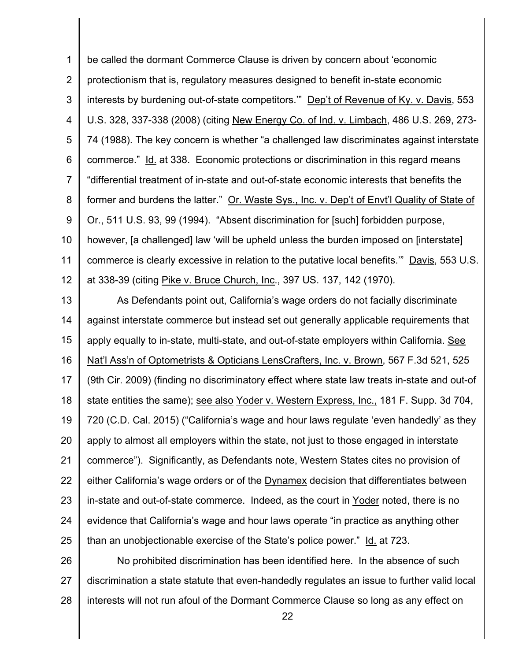be called the dormant Commerce Clause is driven by concern about 'economic protectionism that is, regulatory measures designed to benefit in-state economic interests by burdening out-of-state competitors." Dep't of Revenue of Ky. v. Davis, 553 U.S. 328, 337-338 (2008) (citing New Energy Co. of Ind. v. Limbach, 486 U.S. 269, 273- 74 (1988). The key concern is whether "a challenged law discriminates against interstate commerce." Id. at 338. Economic protections or discrimination in this regard means "differential treatment of in-state and out-of-state economic interests that benefits the former and burdens the latter." Or. Waste Sys., Inc. v. Dep't of Envt'l Quality of State of Or., 511 U.S. 93, 99 (1994). "Absent discrimination for [such] forbidden purpose, however, [a challenged] law 'will be upheld unless the burden imposed on [interstate] commerce is clearly excessive in relation to the putative local benefits."" Davis, 553 U.S. at 338-39 (citing <u>Pike v. Bruce Church, Inc</u>., 397 US. 137, 142 (1970). 1 2 3 4 5 6 7 8 9 10 11 12

 As Defendants point out, California's wage orders do not facially discriminate against interstate commerce but instead set out generally applicable requirements that apply equally to in-state, multi-state, and out-of-state employers within California. See Nat'l Ass'n of Optometrists & Opticians LensCrafters, Inc. v. Brown, 567 F.3d 521, 525 (9th Cir. 2009) (finding no discriminatory effect where state law treats in-state and out-of state entities the same); see also Yoder v. Western Express, Inc., 181 F. Supp. 3d 704, 720 (C.D. Cal. 2015) ("California's wage and hour laws regulate 'even handedly' as they apply to almost all employers within the state, not just to those engaged in interstate commerce"). Significantly, as Defendants note, Western States cites no provision of either California's wage orders or of the Dynamex decision that differentiates between in-state and out-of-state commerce. Indeed, as the court in Yoder noted, there is no evidence that California's wage and hour laws operate "in practice as anything other than an unobjectionable exercise of the State's police power." Id. at 723. 13 14 15 16 17 18 19 20 21 22 23 24 25

 No prohibited discrimination has been identified here. In the absence of such discrimination a state statute that even-handedly regulates an issue to further valid local interests will not run afoul of the Dormant Commerce Clause so long as any effect on 26 27 28